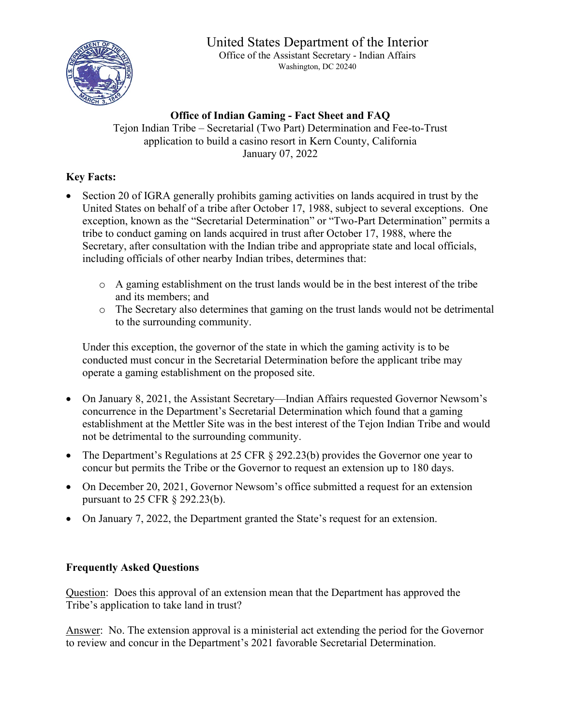## United States Department of the Interior



Office of the Assistant Secretary - Indian Affairs Washington, DC 20240

## **Office of Indian Gaming - Fact Sheet and FAQ** Tejon Indian Tribe – Secretarial (Two Part) Determination and Fee-to-Trust application to build a casino resort in Kern County, California January 07, 2022

## **Key Facts:**

- Section 20 of IGRA generally prohibits gaming activities on lands acquired in trust by the United States on behalf of a tribe after October 17, 1988, subject to several exceptions. One exception, known as the "Secretarial Determination" or "Two-Part Determination" permits a tribe to conduct gaming on lands acquired in trust after October 17, 1988, where the Secretary, after consultation with the Indian tribe and appropriate state and local officials, including officials of other nearby Indian tribes, determines that:
	- o A gaming establishment on the trust lands would be in the best interest of the tribe and its members; and
	- o The Secretary also determines that gaming on the trust lands would not be detrimental to the surrounding community.

Under this exception, the governor of the state in which the gaming activity is to be conducted must concur in the Secretarial Determination before the applicant tribe may operate a gaming establishment on the proposed site.

- On January 8, 2021, the Assistant Secretary—Indian Affairs requested Governor Newsom's concurrence in the Department's Secretarial Determination which found that a gaming establishment at the Mettler Site was in the best interest of the Tejon Indian Tribe and would not be detrimental to the surrounding community.
- The Department's Regulations at 25 CFR § 292.23(b) provides the Governor one year to concur but permits the Tribe or the Governor to request an extension up to 180 days.
- On December 20, 2021, Governor Newsom's office submitted a request for an extension pursuant to 25 CFR § 292.23(b).
- On January 7, 2022, the Department granted the State's request for an extension.

## **Frequently Asked Questions**

Question: Does this approval of an extension mean that the Department has approved the Tribe's application to take land in trust?

Answer: No. The extension approval is a ministerial act extending the period for the Governor to review and concur in the Department's 2021 favorable Secretarial Determination.